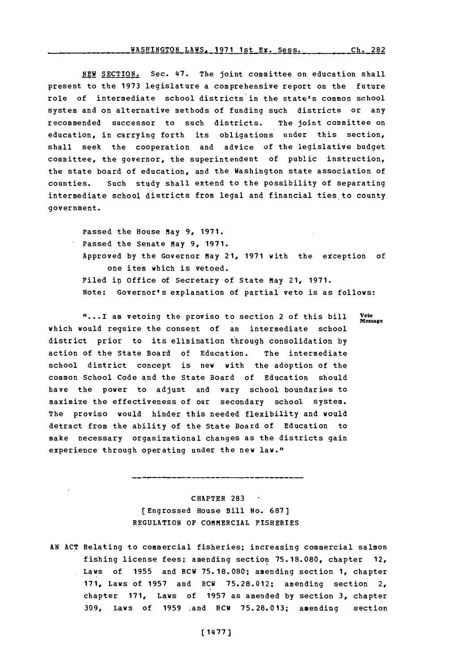## **WASHINGTON LAWS, 1971 1st Ex. Sess. Ch. 282**

**NEW SECTION.** Sec. 47. The joint committee on education shall present to the **1973** legislature a comprehensive report on the future role of intermediate school districts in the state's common school system and on alternative methods of funding such districts or any recommended successor to such districts. The joint committee on education, in carrying forth its obligations under this section, shall seek the cooperation and advice of the legislative budget committee, the governor, the superintendent of public instruction, the state board of education, and the Washington state association of counties. Such study shall extend to the possibility of separating intermediate school districts from legal and financial ties to county government.

Passed the House may **9, 1971.** Passed the Senate May **9, 1971.** Approved by the Governor May 21, 1971 with the exception of one item which is vetoed. Filed in Office of Secretary of State May 21, **1971.** Note: Governor's explanation of partial veto is as follows:

"...I am vetoing the proviso to section 2 of this bill **Message** which would require the consent of an intermediate school district prior to its elimination through consolidation **by** action of the State Board of Education. The intermediate school district concept is new with the adoption of the common School Code and the State Board of Education should have the power to adjust and vary school boundaries to maximize the effectiveness of our secondary school system. The proviso would hinder this needed flexibility and would detract from the ability of the State Board of Education to make necessary organizational changes as the districts gain experience through operating under the new law."

> CHAPTER **283** [Engrossed House Bill No. **687] REGULATION OF** COMMERCIAL FISHERIES

**AN ACT** Relating to commercial fisheries; increasing commercial salmon fishing license fees; amending section **75.18.080,** chapter 12, Laws of **1955** and RCW **75.18.080;** amending section **1,** chapter **171,** Laws of **1957** and RCW **75.28.012;** amending section 2, chapter **171,** Laws of **1957** as amended **by** section **3,** chapter **309,** Laws of **1959** .and RCW **75.28.013;** amending section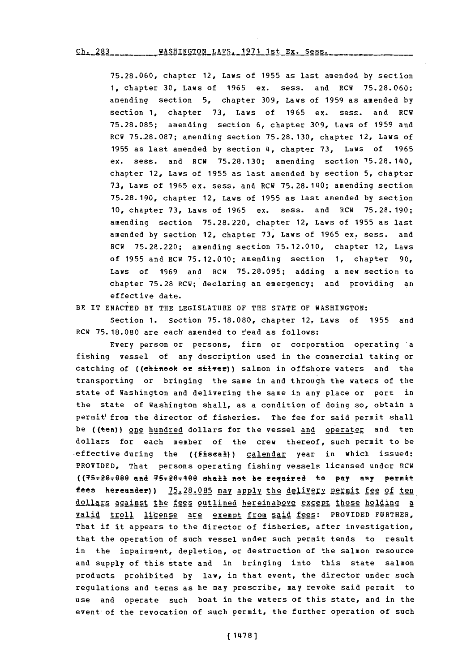**75.28.060,** chapter 12, Laws of **1955** as last amended **by** section **1,** chapter **30,** Laws of **1965** ex. sess. and RCW **75.28.060;** amending section **5,** chapter **309,** Laws of **1959** as amended **by** section **1,** chapter **73,** Laws of **1965** ex. sess, and RCW **75.28.085;** amending section **6,** chapter **309,** Laws of **1959** and RCW 75.28.087; amending section 75.28.130, chapter 12, Laws of **1955** as last amended **by** section 4, chapter **73,** Laws of **1965** ax. sass, and RGW **75.28.130;** amending section **75.28.140,** chapter 12, Laws of **1955** as last amended **by** section **5,** chapter **73,** Laws of **1965** ax. sess. and RCW 75.28.140; amending section **75.28.1190,** chapter 12, Laws of **1955** as last amended **by** section **10,** chapter **73,** Laws of **1965** ex. sass. and RCW **75.28.190;** amending section **75.28.220,** chapter 12, Laws of **1955** as last amended **by** section 12, chapter **73,** Laws of **1965** ax. sass, and RCW **75.28.220;** amending section **75.12.010,** chapter 12, Laws of **1955** and RCW **75.12.010;** amending section **1,** chapter **90,** Laws of **1969** and 8GW **75.28.095;** adding a new section to chapter **75.28** 8GW; declaring an emergency; and providing an effective date.

BE IT **ENACTED** BY THE LEGISLATURE OF THE **STATE** OF **WASHINGTON:**

Section **1.** Section **75. 18.080,** chapter 12, Laws of **1955** and RGW **75. 18.080** are each amended to r'aad as follows:

Every person or persons, firm or corporation operating 'a fishing vessel of any description used in the commercial taking or catching of ((ehineek er silver)) salmon in offshore waters and the transporting or bringing the same in and through the waters of the state of Washington and delivering the same in any place or port in the state of Washington shall, as a condition of doing so, obtain a permit'from the director of fisheries. The fee for said permit shall be ((ten)) one hundred dollars for the vessel and operator and tendollars for each member of the crew thereof, such permit to be effective during the ((fiscal)) calendar year in which issued: PROVIDED, That persons operating fishing vessels licensed under RCW ((75728x98@ **aft&** 95ri6T4ee shall int he reqnired to **pay any** permit fees hereader) **) 75.28.08q5** maY a2! the delivery Permit fee of ten dollars against the fees outlined hereinabove except those holding a valid troll license are exempt from said fees: PROVIDED FURTHER, That if it appears to the director of fisheries, after investigation, that the operation of such vessal under such permit tends to result in the impairment, depletion, or destruction of the salmon resource and supply of this state and in bringing into this state salmon products prohibited **by** law, in that event, the director under such regulations and terms as he may prescribe, may revoke said permit to use and operate such boat in the waters of this state, and in the event of the revocation of such permit, the further operation of such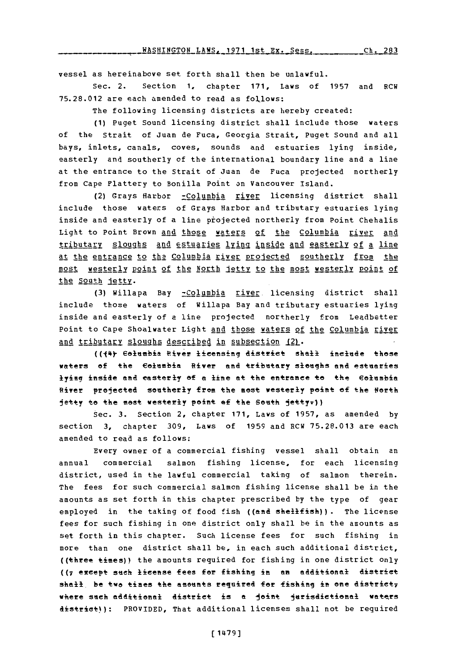vessel as hereinabove set forth shall then be unlawful.

Sec. 2. section **1,** chapter **171,** Laws of **1957** and RCW **75.28.012** are each amended to read as foJllows:

The following licensing districts are hereby created:

**(1)** Puget Sound licensing district shall include those waters of the Strait of Juan de Fuca, Georgia Strait, Puget Sound and all bays, inlets, canals, coves, sounds and estuaries lying inside, easterly and southerly of the international boundary line and a line at the entrance to the Strait of Juan de Fuca projected northerly from Cape Flattery to Bonilla Point on Vancouver Island.

(2) Grays Harbor -Columbia river licensing district shall include those waters **of** Grays Harbor and tributary estuaries lying inside and easterly of a line projected northerly from Point Chehalis Light to Point Brown and those waters of the Columbia river and tributary sloughs and estuaries lying inside and easterly of a line at the entrance to the Columbia river projected southerly from the most westerly Point of the North jetty to the most westerly point of the South jetty.

**(3)** Willapa Bay -Columbia river. licensing district shall include those waters of Willapa Bay and tributary estuaries lying inside and easterly of a line projected northerly from Leadbetter Point to Cape Shoalwater Light and those waters of the Columbia river and tributary sloughs described in subsection (2).

((44) Columbia River licensing district shall include those waters of the Columbia River and tributary sloughs and estuaries lying inside and easterly of a line at the entrance to the **Columbia** River projected southerly from the most westerly point of the North jetty to the most westerly point of the South jetty<del>.</del>))

sec. **3.** Section 2, chapter **171,** Laws of **1957,** as amended **by** section **3,** chapter **309,** Laws of **1959** and RCW **75.28.013** are each amended to read as follows:

Every owner of a commercial fishing vessel shall obtain an annual commercial salmon fishing license, for each licensing district, used in the lawful commercial taking of salmon therein. The fees for such commercial salmon fishing license shall be in the amounts as set forth in this chapter prescribed **by** the type of gear employed in the taking of food fish ((and shellfish)) . The license fees for such fishing in one district only shall be in the amounts as set forth in this chapter. Such license fees for such fishing in more than one district shall be, in each such additional district, ((three times)) the amounts required for fishing in one district only ((7 except such license fees for fishing in an additional district shall be two times the amounts required for fishing in one district<sub>7</sub> where such additional district is a joint jurisdictional waters district)): PROVIDED, That additional licenses shall not be required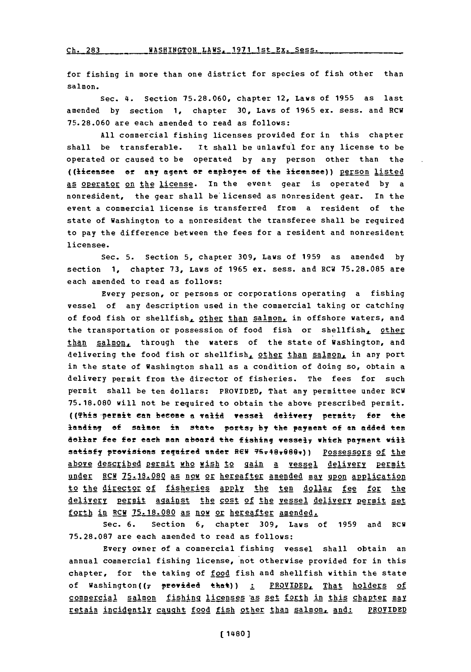for fishing in more than one district for species of fish other than salmon.

Sec. **4.** Section **75.28.060,** chapter 12, Laws of **1955** as last amended **by** section **1,** chapter **30,** Laws of **1965** ex. sess. and RCW **75.28.060** are each amended to read as follows:

**All** commercial fishing licenses provided for in this chapter shall be transferable. It shall be unlawful for any license to be operated or caused to be operated **by** any person other than the ((licensee or any agent or employee **of** the lienasee)) person Ilsted as operator on the license. In the event gear is operated **by** a nonresident, the gear shall be'licensed as nonresident gear. In the event a commercial license is transferred from a resident of the state of Washington to a nonresident the transferee shall be required to pay the difference between the fees for a resident and nonresident licensee.

Sec. **5.** Section **5,** chapter **309,** Laws of **1959** as amended **by** section **1,** chapter **73,** Laws of **1965** ex. sess. and RCV **75.28.085** are each amended to read as follows:

Every person, or persons or corporations operating a fishing vessel of any description used in the commercial taking or catching of food fish or shellfish, other than salmon, in offshore waters, and the transportation or possession of food fish or shellfish, other than salmon, through the waters of the state of Washington, and delivering the food fish or shellfish, other than salmon, in any port in the state of Washington shall as a condition of doing so, obtain a delivery permit from the director of fisheries. The fees for such permit shall be ten dollars: PROVIDED, That any permittee under RCW **75. 18.080** will not be required to obtain the above prescribed permit. **((This permit can become a valid vessel delivery permit, for the** loading **Of salmon** in State PeftS7 **by** the payment **of** an added ten dollar fee for each man aboard the *fishing* **vessei7 which payment iij\*** satisfy provisions required under REW 75-40+080+)) Possessors of the above described permit who wish to gain a vessel delivery permit under RCM 75.18.080 as now or hereafter amended may upon application to the director of fisheries apply the ten dollar fee for the delivery permit against the cost of the vessel delivery permit set forth in RCW **75.18.080** as now or hereafter amended..

Sec. **6.** Section **6,** chapter **309,** Laws of **1959** and RCW **75.28.087** are each amended to read as follows:

Every owner **of** a commercial fishing vessel shall obtain an annual commercial fishing license, not otherwise provided for in this chapter, for the taking of food fish and shellfish within the state of Washington((7 provided that)) <u>: PROVIDED. That holders of</u> commercial salmon fishing licenses as set forth in this chapter may **retain incidently caught food fish other than salmon, and: PROVIDED**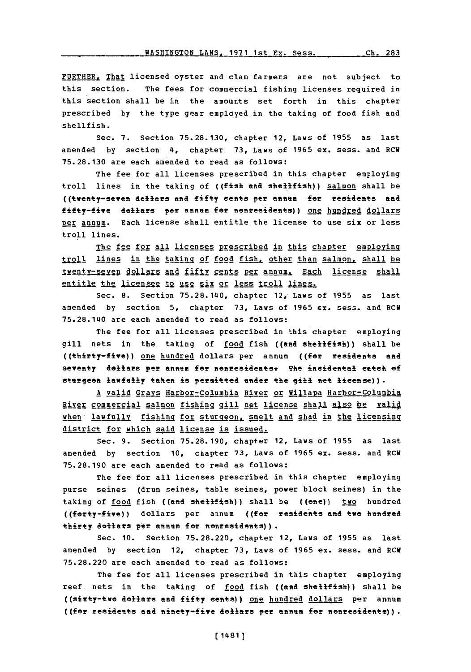**WASHINGTON LAWS, 1971 1st Ex. Sess. Ch. 28** 

PURTHER, That licensed oyster and clam farmers are not subject to this section. The fees for commercial fishing licenses required in this section shall be in the amounts set forth in this chapter prescribed **by** the type gear employed in the taking of food fish and shellfish.

Sec. **7.** Section **75.28.130,** chapter 12, Laws of **1955** as last amended **by** section **4,** chapter **73,** Laws of **1965** ex. sess. and RCW **75.28.130** are each amended to read as follows:

The fee for all licenses prescribed in this chapter employing troll lines in the taking of ((fish and shellfish)) salmon shall be ((+\_weft+y-seven dollars **aft** ffy cents per **ft88ffi** farrsidents and fifty-five dollars per annum for nonresidents)) one hundred dollars per annum. Each license shall entitle the license to use six or less troll lines.

The fee for all licenses prescribed in this chapter employing troll lines in the taking of food fish, other than salmon, shall be twenty-seven dollars and fifty cents per annum. Each license shall entitle the licensee to use six or less troll lines.

Sec. **8.** Section 75.28.140, chapter 12,- Laws of **1955** as last amended **by** section **5,** chapter **73,** Laws of **1965** ex. sess. and RCV **75.28.1140** are each amended to read as follows:

The fee for all licenses prescribed in this chapter employing gill nets in the taking of food fish ((and shellfish)) shall be ((thirty-five)) one hundred dollars per annum ((for residents and seventy dollars per annum for nonresidents: The incidental catch of sturgeon lawfully taken is permitted under the gill net license)).

**A** valid Grays Harbor-Columbia River or Willapa Harbor-Columbia River commercial salmon fishing gill net license shall also be valid when- lawful].y fishing for &tur2eon, smelt and shad in the licensing district for which said license is issued.

Sec. **9.** Section **75.28. 190,** chapter 12, Laws of **1955** as last amended **by** section **10,** chapter **73,** Laws of **1965** ex. sess. and RCW **75.28.190** are each amended to read as follows:

The fee for all licenses prescribed in this chapter employing purse seines (drum seines, table seines, power block seines) in the taking of food fish ((and shellfish)) shall be ((one)) two hundred ((forty-five)) dollars per annum ((for residents and two hundred thirty dollars per annum for nonresidents)).

Sec. **10.** Section **75.28.220,** chapter 12, Laws of **1955** as last amended by section 12, chapter 73, Laws of 1965 ex. sess. and RCW **75.28.220** are each amended to read as follows:

The fee for all licenses prescribed in this chapter employing reef nets in the taking of food fish ((and shellfish)) shall be ((sixty-twe dollars and fifty cents)) one hundred dollars per annum **((far** residents and ninety-five dollars per anass for annesidents)).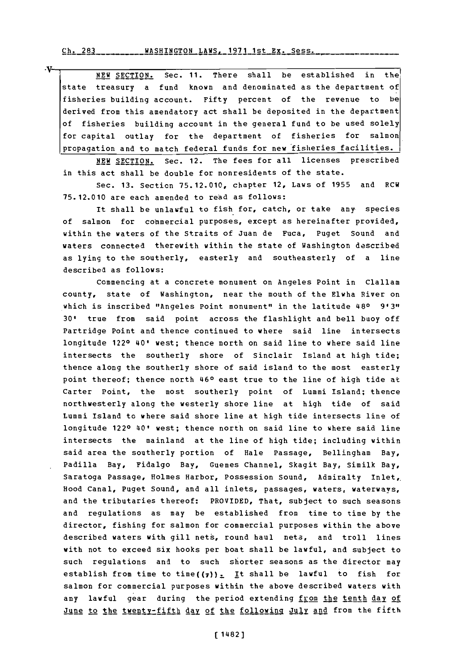V-

NEW **SECTION.** Sec. **11.** There shall be established in the state treasury a fund known and denominated as the department of fisheries building account. Fifty percent of the revenue to be derived from this amendatory act shall be deposited in the department of fisheries building account in the general fund to be used solely for capital outlay for the department of fisheries for salmon propagation and to match federal funds for new fisheries facilities.

**NEW SECTION.** Sec. 12. The fees for all licenses prescribed in this act shall be double for nonresidents of the state.

Sec. **13.** Secticn **75.12.010,** chapter 12, Laws of **1955** and RCW **75. 12.010** are each amended to read as follows:

It shall be unlawful to fish for, catch, or take any species of salmon for commercial purposes, except as hereinafter provided, within the waters of the Straits of Juan de Fuca, Puget Sound and waters connected therewith within the state of Washington described as lying to the southerly, easterly and southeasterly of a line described as follows:

Commencing at a concrete monument on Angeles Point in Clallam county, state of Washington, near the mouth of the Elwha River on which is inscribed "Angeles Point monument" in the latitude 480 **9131, 30'** true from said point across the flashlight and bell buoy off Partridge Point and thence continued to where said line intersects longitude 1220 40' west; thence north on said line to where said line intersects the southerly shore of Sinclair Island at high tide; thence along the southerly shore of said island to the most easterly point thereof; thence north 460 east true to the line of high tide at Carter Point, the most southerly point of Lummi Island; thence northwesterly along the westerly shore line at high tide of said Lummi Island to where said shore line at high tide intersects line of longitude 1220 40' west; thence north on said line to where said line intersects the mainland at the line of high tide; including within said area the southerly portion of Hale Passage, Bellingham Bay, Padilla Bay, Fidalgo Bay, Guemes Channel, Skagit Bay, Similk Bay, Saratoga Passage, Holmes Harbor, Possession Sound, Admiralty Inlet, Hood Canal, Puget Sound, and all inlets, passages, waters, waterways, and the tributaries thereof: PROVIDED, That, subject to such seasons and regulations as may be established from time to time **by** the director, fishing for salmon for commercial purposes within the above described waters with gill nets, round haul nets, and troll lines with not to exceed six hooks per boat shall be lawful, and subject to such regulations and to such shorter seasons as the director may establish from time to time( $(7)$ ). It shall be lawful to fish for salmon for commercial purposes within the above described waters with any lawful gear during the period extending from the tenth day of June to the twenty-fifth day of the following July and from the fifth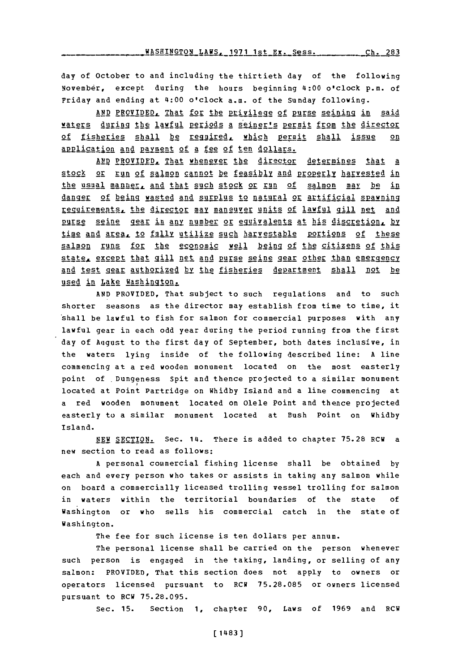day of October to and including the thirtieth day of the following November, except during the hours beginning 41:00 o'clock p.m. of Friday and ending at 41:00 o'clock a.m. of the Sunday following.

AND PROVIDED, That for the privilege of purse seining in said waters during the lawful periods a seiner's permit from the director of fisheries shall be required, which oermit shall issue on application and payment of a fee of ten dollars.

AND PROVIDED, That whenever the director determines that a stock or run of salmon cannot be feasibly and properly harvested in the usual manner. and that such stock or run of salmon **may** be in danger of being wasted and surplus to natural or artificial spawning reguirements, the director may maneuver units of lawful gill net and purse seine gear in any number or equivalents at his discretion, by time and area, to fully utilize such harvestable portions of these salmon runs for the economic well being of the citizens of this state, except that gill net and purse seine gear other than emergency and test gear authorized by the fisheries department shall not be used in Lake Washington.

**AND** PROVIDED, That subject to such regulations and to such shorter seasons as the director may establish from time to time, it shall be lawful to fish for salmon for commercial purposes with any lawful gear in each odd year during the period running from the first day of August to the first day of September, both dates inclusive, in the waters lying inside of the following described line: **A** line commencing at a red wooden monument located on the most easterly point **of** Dungeness Spit and thence projected to a similar monument located at Point Partridge on Whidby Island and a line commencing at a red wooden monument located on Olele Point and thence projected easterly to a similar monument located at Bush Point on Whidby Island.

**NEW SECTION.** Sec. 111. There is added to chapter **75.28** RCW a new section to read as follows:

A personal commercial fishing license shall be obtained by each and every person who takes or assists in taking any salmon while on board a commercially licensed trolling vessel trolling for salmon in waters within the territorial boundaries of the state **of** Washington or who sells his commercial catch in the state of Washington.

The fee for such license is ten dollars per annum.

The personal license shall be carried on the person whenever such person is engaged in the taking, landing, or selling of any salmon: PROVIDED, That this section does not apply to owners or operators licensed pursuant to RCW **75.28.085** or owners licensed pursuant to HCW **75.28.095.**

Sec. **15.** Section **1,** chapter **90,** Laws of **1969** and RCW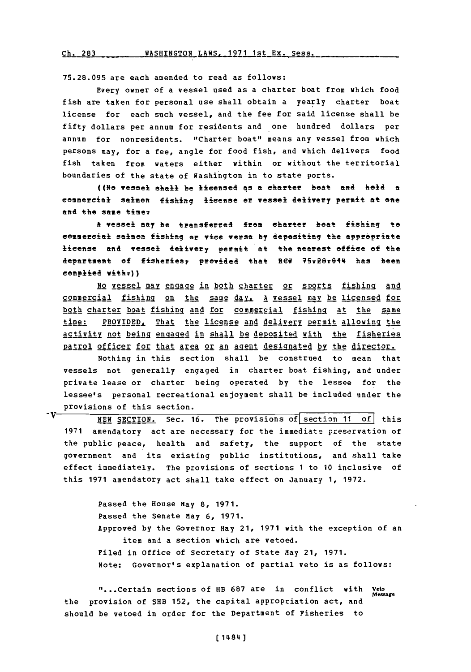$ch. 283$  WASHINGTON LAWS, 1971 1st Ex. Sess.

**75.28.095** are each amended to read as follows:

Every owner of a vessel used as a charter boat from which food fish are taken for personal use shall obtain a yearly charter boat license for each such vessel, and the fee for said license shall be fifty dollars per annum for residents and one hundred dollars per annum for nonresidents. "Charter boat" means any vessel from which persons may, for a fee, angle for food fish, and which delivers food fish taken from waters either within or without the territorial boundaries of the state of Washington in to state ports.

**((No** vessel shall be licensed as **a** charter beat and held a commercial salmon fishing license or vessel delivery permit at one **end** the same **tiaev**

**\*t** vessel **may** be tansferred from charter beat fishing to commercial **Selman** fishing or vice versa **by** depositing the appropriaes license and vessel delivery permit at the nearest office of the department of fisheries, provided that REW 75r26r044 has been complied withr))

No vessel may engage in both charter or sports fishing and commercial fishing on the same day. A vessel may be licensed for both charter boat fishing and for commercial fishing at the same time: PROVIDED, That the license and delivery permit allowing the activity not being engaged in shall be deposited with the fisheries patrol officer for that area or an agent designated by the director.

Nothing in this section shall be construed to mean that vessels not generally engaged in charter boat fishing, and under private lease or charter being operated **by** the lessee for the lessee's personal recreational enjoyment shall be included under the provisions of this section.

-V NEW SECTION. Sec. 16. The provisions of section 11 of this **1971** amendatory act are necessary for the immediate jpeservation of the public peace, health and safety, the support of the state government and its existing public institutions, and shall take effect immediately. The provisions of sections **1** to **10** inclusive of this **1971** amendatory act shall take effect on January **1, 1972.**

> Passed the House may **8, 1971.** Passed the Senate May **6, 1971.** Approved **by** the Governor Hay 21, **1971** with the exception of an item and a section which are vetoed. Piled in office of Secretary **of** State May 21, **1971.** Note: Governor's explanation of partial veto is as follows:

*"...* Certain sections **of** HB **687** are in conflict with **veto Message** the provision of SHB **152,** the capital appropriation act, and should be vetoed in order for the Department of Fisheries to